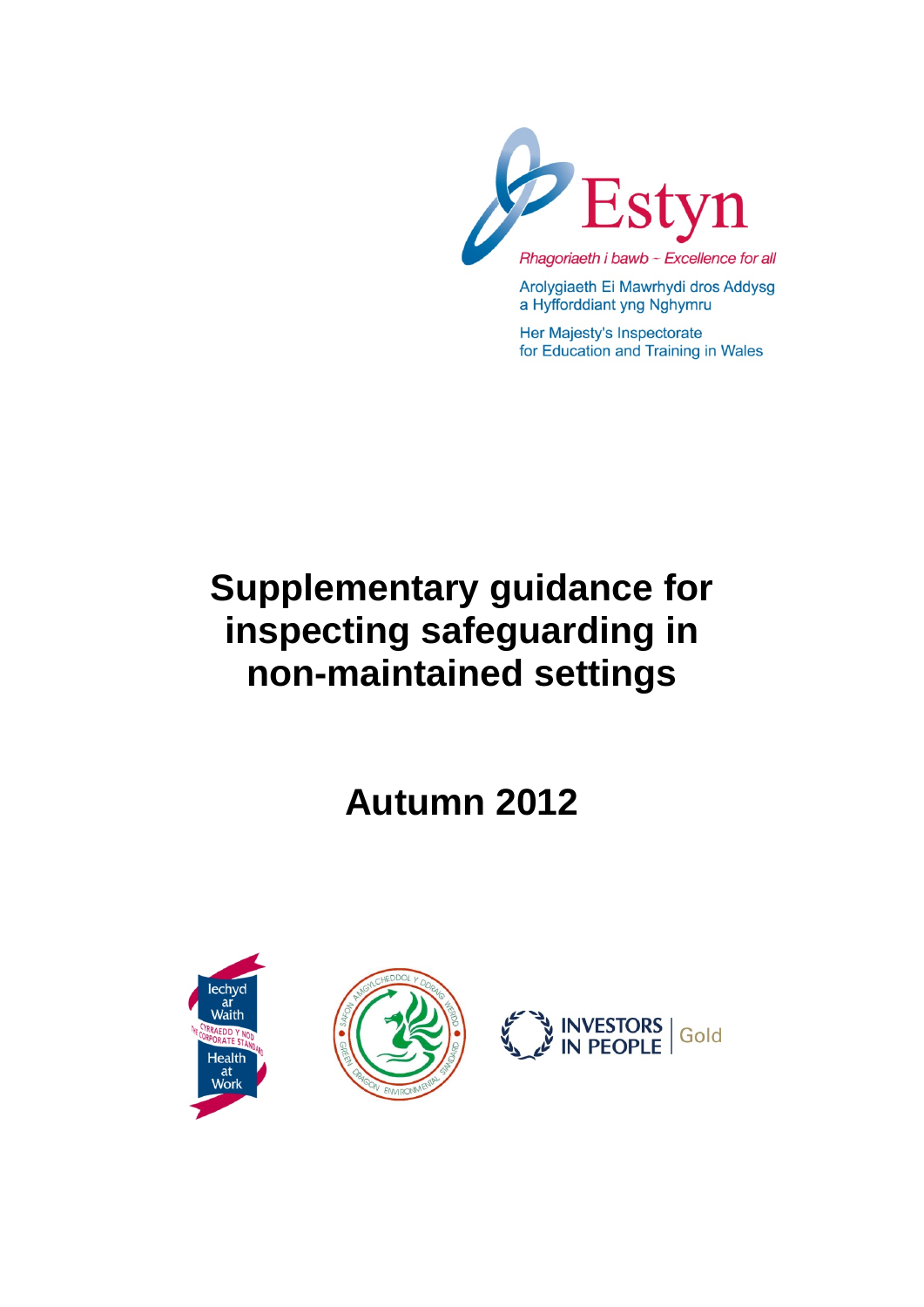

Arolygiaeth Ei Mawrhydi dros Addysg a Hyfforddiant yng Nghymru

Her Majesty's Inspectorate for Education and Training in Wales

# **Supplementary guidance for inspecting safeguarding in non-maintained settings**

**Autumn 2012** 





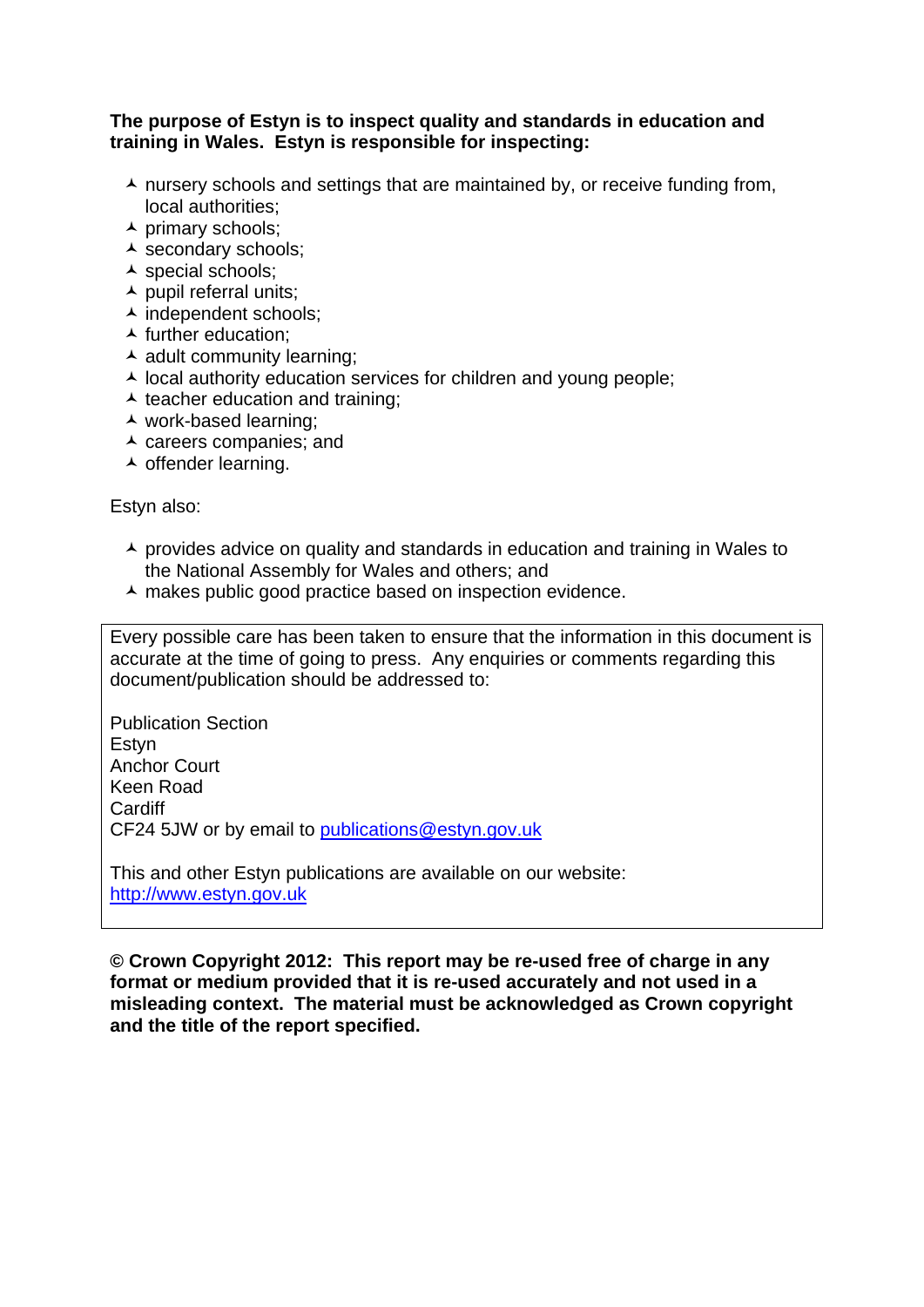#### **The purpose of Estyn is to inspect quality and standards in education and training in Wales. Estyn is responsible for inspecting:**

- $\lambda$  nursery schools and settings that are maintained by, or receive funding from, local authorities;
- $\overline{\phantom{a}}$  primary schools;
- ▲ secondary schools;
- $\overline{\phantom{a}}$  special schools;
- $\blacktriangle$  pupil referral units;
- $\overline{\phantom{a}}$  independent schools;
- $\blacktriangle$  further education:
- $\triangle$  adult community learning:
- $\lambda$  local authority education services for children and young people;
- $\triangle$  teacher education and training;
- work-based learning;
- $\overline{\phantom{a}}$  careers companies; and
- $\overline{\phantom{a}}$  offender learning.

#### Estyn also:

- $\lambda$  provides advice on quality and standards in education and training in Wales to the National Assembly for Wales and others; and
- A makes public good practice based on inspection evidence.

Every possible care has been taken to ensure that the information in this document is accurate at the time of going to press. Any enquiries or comments regarding this document/publication should be addressed to:

Publication Section Estyn Anchor Court Keen Road **Cardiff** CF24 5JW or by email to publications@estyn.gov.uk

This and other Estyn publications are available on our website: http://www.estyn.gov.uk

**© Crown Copyright 2012: This report may be re-used free of charge in any format or medium provided that it is re-used accurately and not used in a misleading context. The material must be acknowledged as Crown copyright and the title of the report specified.**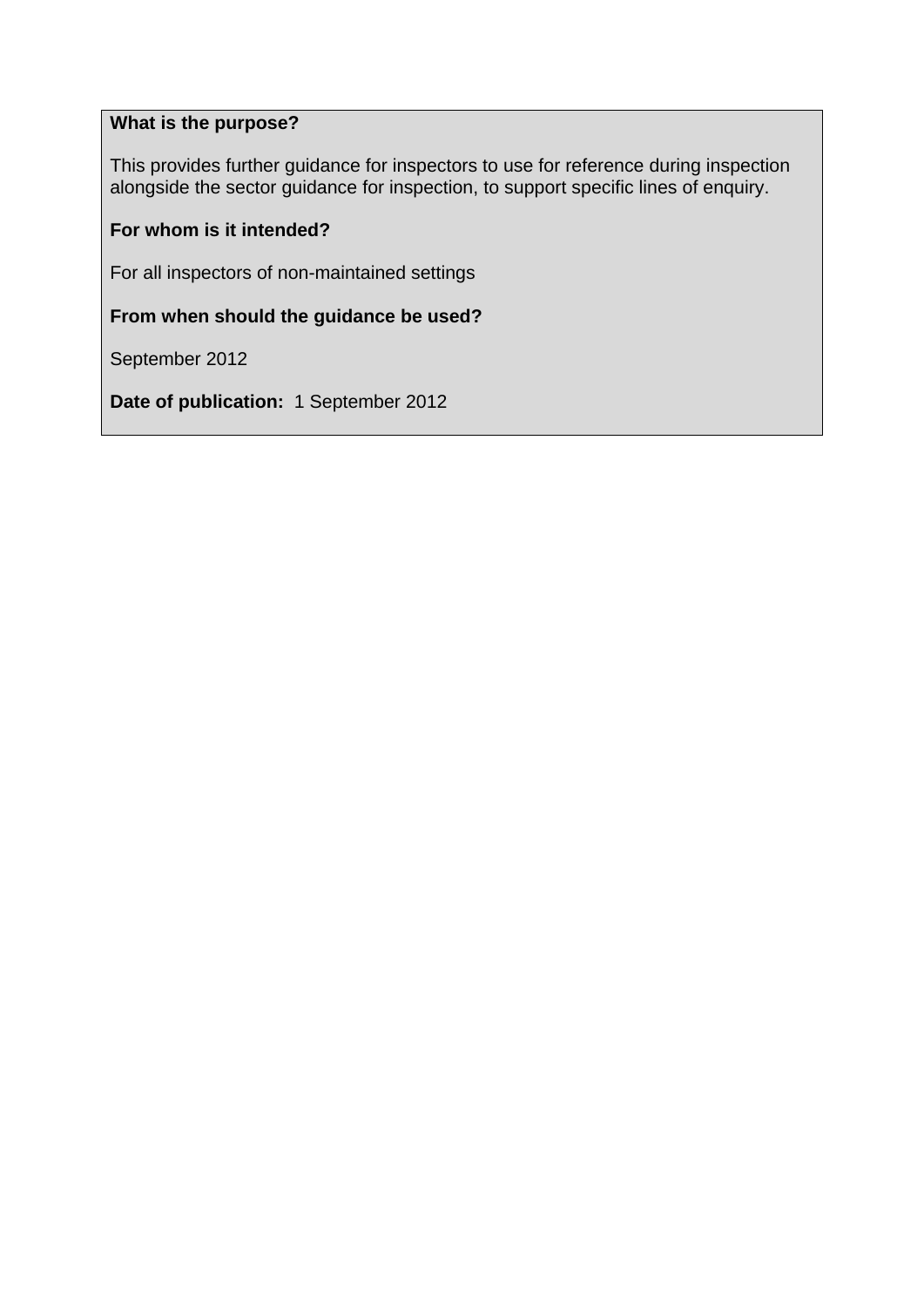#### **What is the purpose?**

This provides further guidance for inspectors to use for reference during inspection alongside the sector guidance for inspection, to support specific lines of enquiry.

#### **For whom is it intended?**

For all inspectors of non-maintained settings

**From when should the guidance be used?** 

September 2012

**Date of publication:** 1 September 2012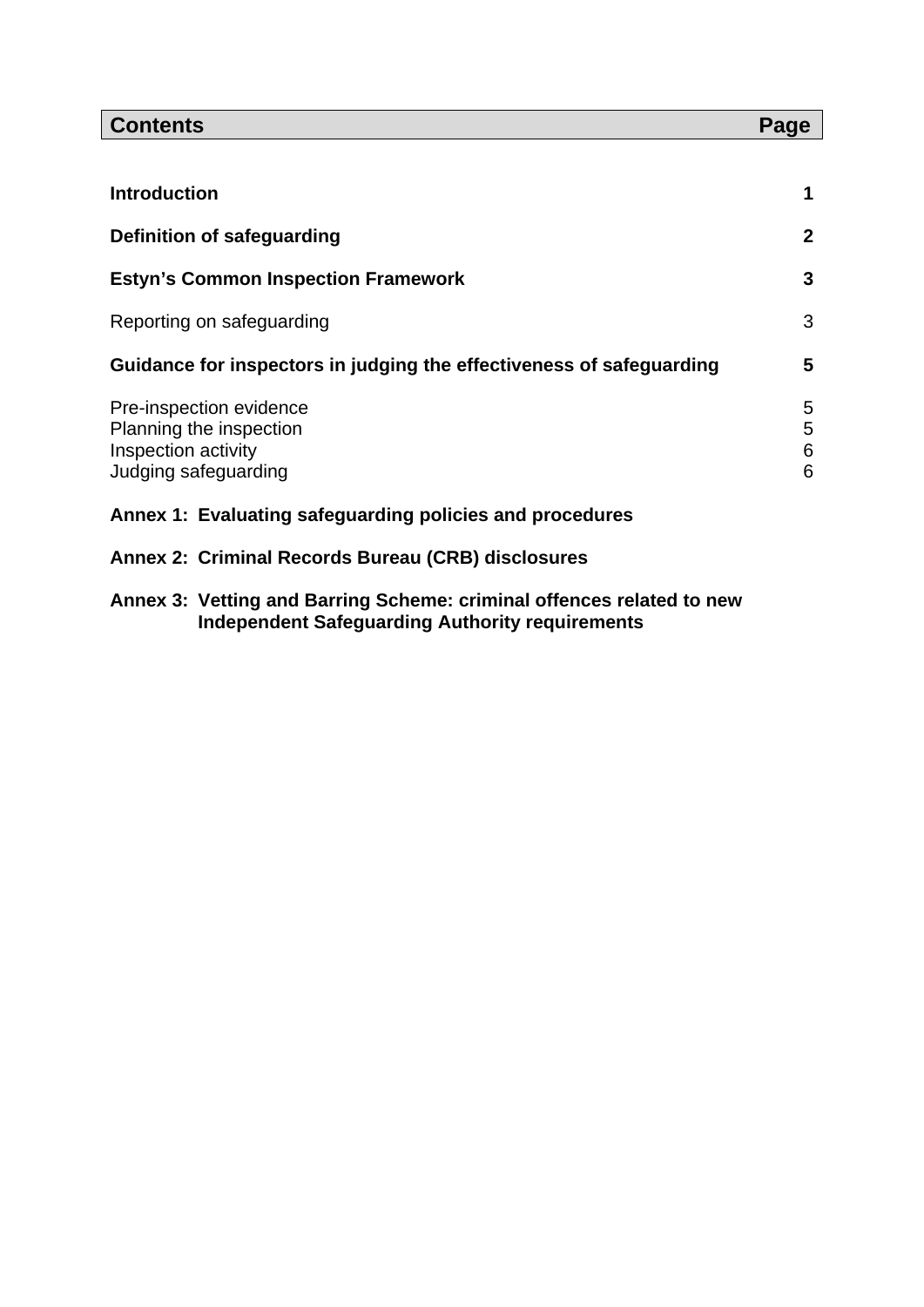| <b>Contents</b>                                                                                   | Page             |
|---------------------------------------------------------------------------------------------------|------------------|
|                                                                                                   |                  |
| <b>Introduction</b>                                                                               | 1                |
| Definition of safeguarding                                                                        | $\mathbf 2$      |
| <b>Estyn's Common Inspection Framework</b>                                                        | 3                |
| Reporting on safeguarding                                                                         | 3                |
| Guidance for inspectors in judging the effectiveness of safeguarding                              | 5                |
| Pre-inspection evidence<br>Planning the inspection<br>Inspection activity<br>Judging safeguarding | 5<br>5<br>6<br>6 |
| Annex 1: Evaluating safeguarding policies and procedures                                          |                  |
| Annex 2: Criminal Records Bureau (CRB) disclosures                                                |                  |

 $\overline{\phantom{a}}$ 

**Annex 3: Vetting and Barring Scheme: criminal offences related to new Independent Safeguarding Authority requirements**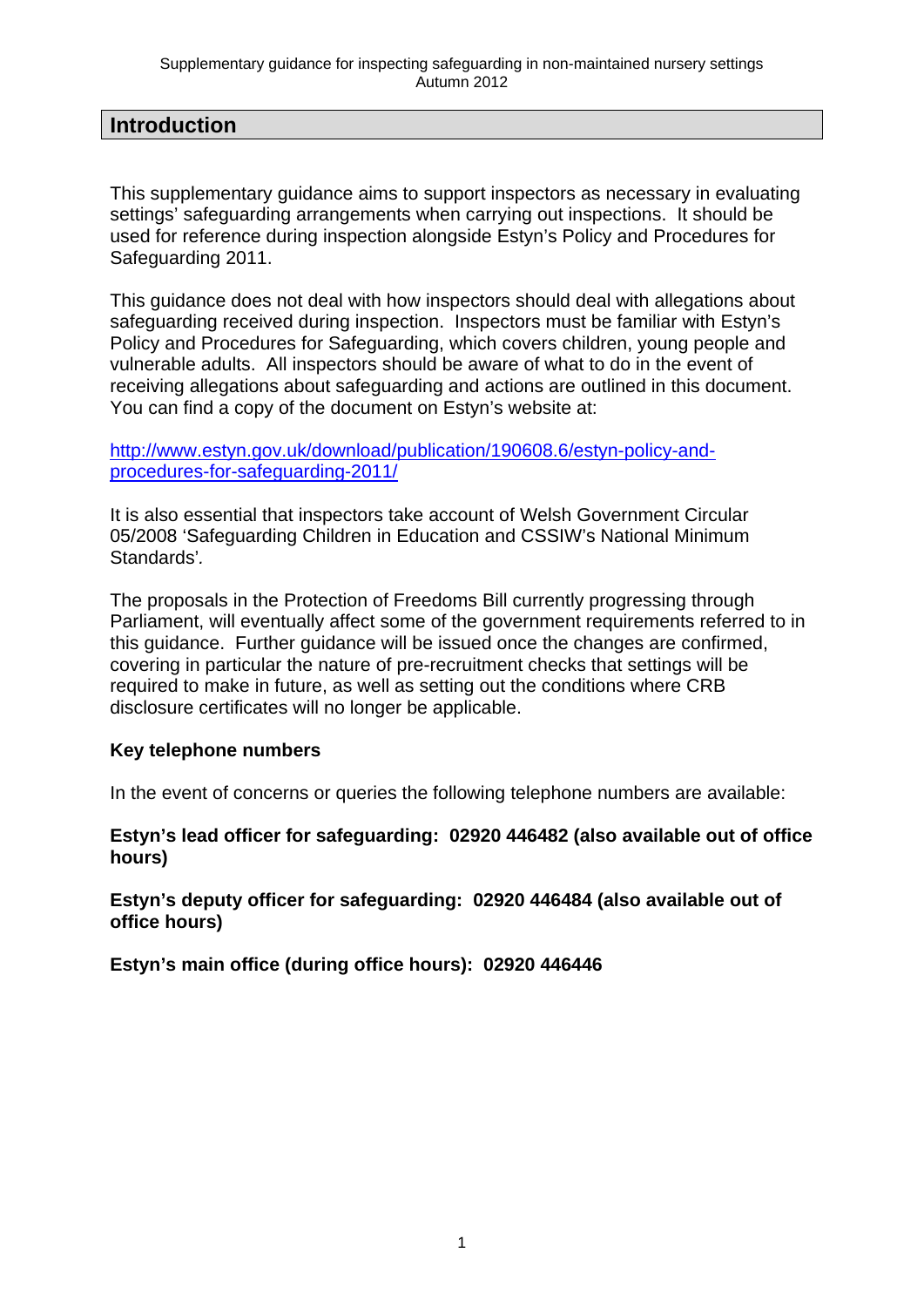**Introduction** 

This supplementary guidance aims to support inspectors as necessary in evaluating settings' safeguarding arrangements when carrying out inspections. It should be used for reference during inspection alongside Estyn's Policy and Procedures for Safeguarding 2011.

This guidance does not deal with how inspectors should deal with allegations about safeguarding received during inspection. Inspectors must be familiar with Estyn's Policy and Procedures for Safeguarding, which covers children, young people and vulnerable adults. All inspectors should be aware of what to do in the event of receiving allegations about safeguarding and actions are outlined in this document. You can find a copy of the document on Estyn's website at:

http://www.estyn.gov.uk/download/publication/190608.6/estyn-policy-andprocedures-for-safeguarding-2011/

It is also essential that inspectors take account of Welsh Government Circular 05/2008 'Safeguarding Children in Education and CSSIW's National Minimum Standards'*.* 

The proposals in the Protection of Freedoms Bill currently progressing through Parliament, will eventually affect some of the government requirements referred to in this guidance. Further guidance will be issued once the changes are confirmed, covering in particular the nature of pre-recruitment checks that settings will be required to make in future, as well as setting out the conditions where CRB disclosure certificates will no longer be applicable.

#### **Key telephone numbers**

In the event of concerns or queries the following telephone numbers are available:

#### **Estyn's lead officer for safeguarding: 02920 446482 (also available out of office hours)**

**Estyn's deputy officer for safeguarding: 02920 446484 (also available out of office hours)** 

**Estyn's main office (during office hours): 02920 446446**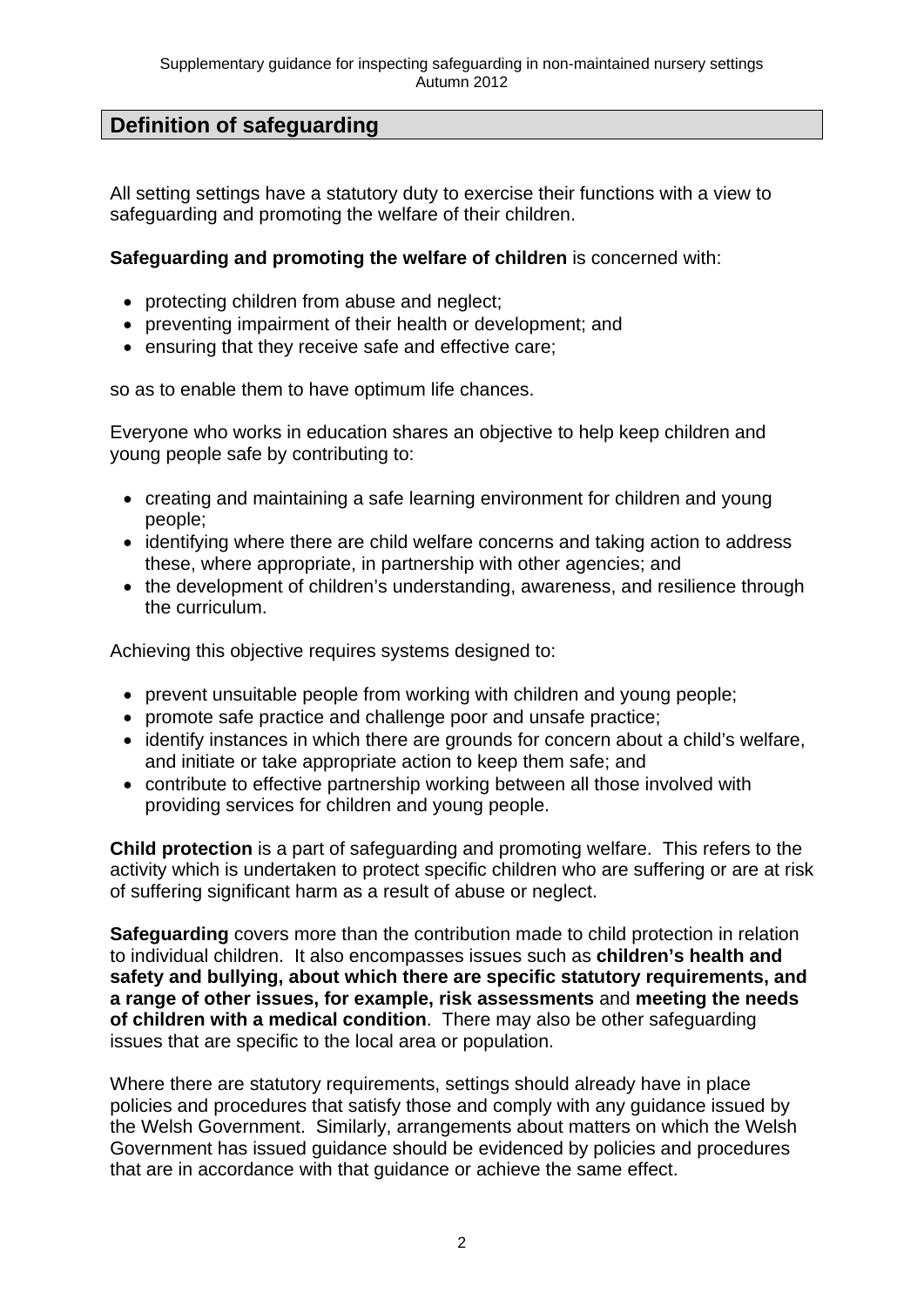## **Definition of safeguarding**

All setting settings have a statutory duty to exercise their functions with a view to safeguarding and promoting the welfare of their children.

#### **Safeguarding and promoting the welfare of children** is concerned with:

- protecting children from abuse and neglect;
- preventing impairment of their health or development; and
- ensuring that they receive safe and effective care;

so as to enable them to have optimum life chances.

Everyone who works in education shares an objective to help keep children and young people safe by contributing to:

- creating and maintaining a safe learning environment for children and young people;
- identifying where there are child welfare concerns and taking action to address these, where appropriate, in partnership with other agencies; and
- the development of children's understanding, awareness, and resilience through the curriculum.

Achieving this objective requires systems designed to:

- prevent unsuitable people from working with children and young people;
- promote safe practice and challenge poor and unsafe practice;
- identify instances in which there are grounds for concern about a child's welfare, and initiate or take appropriate action to keep them safe; and
- contribute to effective partnership working between all those involved with providing services for children and young people.

**Child protection** is a part of safeguarding and promoting welfare. This refers to the activity which is undertaken to protect specific children who are suffering or are at risk of suffering significant harm as a result of abuse or neglect.

**Safeguarding** covers more than the contribution made to child protection in relation to individual children. It also encompasses issues such as **children's health and safety and bullying, about which there are specific statutory requirements, and a range of other issues, for example, risk assessments** and **meeting the needs of children with a medical condition**.There may also be other safeguarding issues that are specific to the local area or population.

Where there are statutory requirements, settings should already have in place policies and procedures that satisfy those and comply with any guidance issued by the Welsh Government. Similarly, arrangements about matters on which the Welsh Government has issued guidance should be evidenced by policies and procedures that are in accordance with that guidance or achieve the same effect.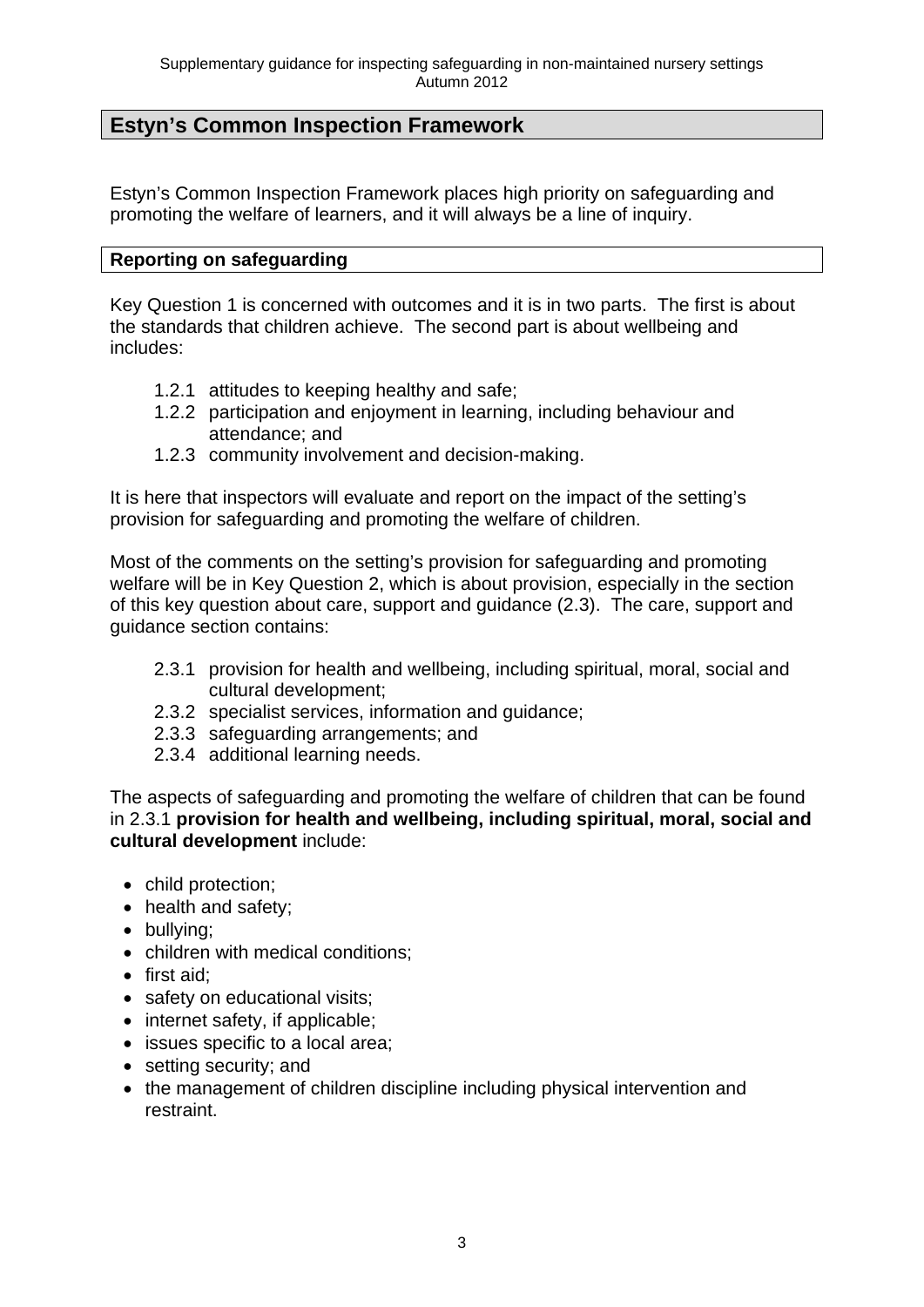# **Estyn's Common Inspection Framework**

Estyn's Common Inspection Framework places high priority on safeguarding and promoting the welfare of learners, and it will always be a line of inquiry.

#### **Reporting on safeguarding**

Key Question 1 is concerned with outcomes and it is in two parts. The first is about the standards that children achieve. The second part is about wellbeing and includes:

- 1.2.1 attitudes to keeping healthy and safe;
- 1.2.2 participation and enjoyment in learning, including behaviour and attendance; and
- 1.2.3 community involvement and decision-making.

It is here that inspectors will evaluate and report on the impact of the setting's provision for safeguarding and promoting the welfare of children.

Most of the comments on the setting's provision for safeguarding and promoting welfare will be in Key Question 2, which is about provision, especially in the section of this key question about care, support and guidance (2.3). The care, support and guidance section contains:

- 2.3.1 provision for health and wellbeing, including spiritual, moral, social and cultural development;
- 2.3.2 specialist services, information and guidance;
- 2.3.3 safeguarding arrangements; and
- 2.3.4 additional learning needs.

The aspects of safeguarding and promoting the welfare of children that can be found in 2.3.1 **provision for health and wellbeing, including spiritual, moral, social and cultural development** include:

- child protection;
- health and safety;
- bullying;
- children with medical conditions;
- $\bullet$  first aid:
- safety on educational visits;
- internet safety, if applicable;
- issues specific to a local area;
- setting security; and
- the management of children discipline including physical intervention and restraint.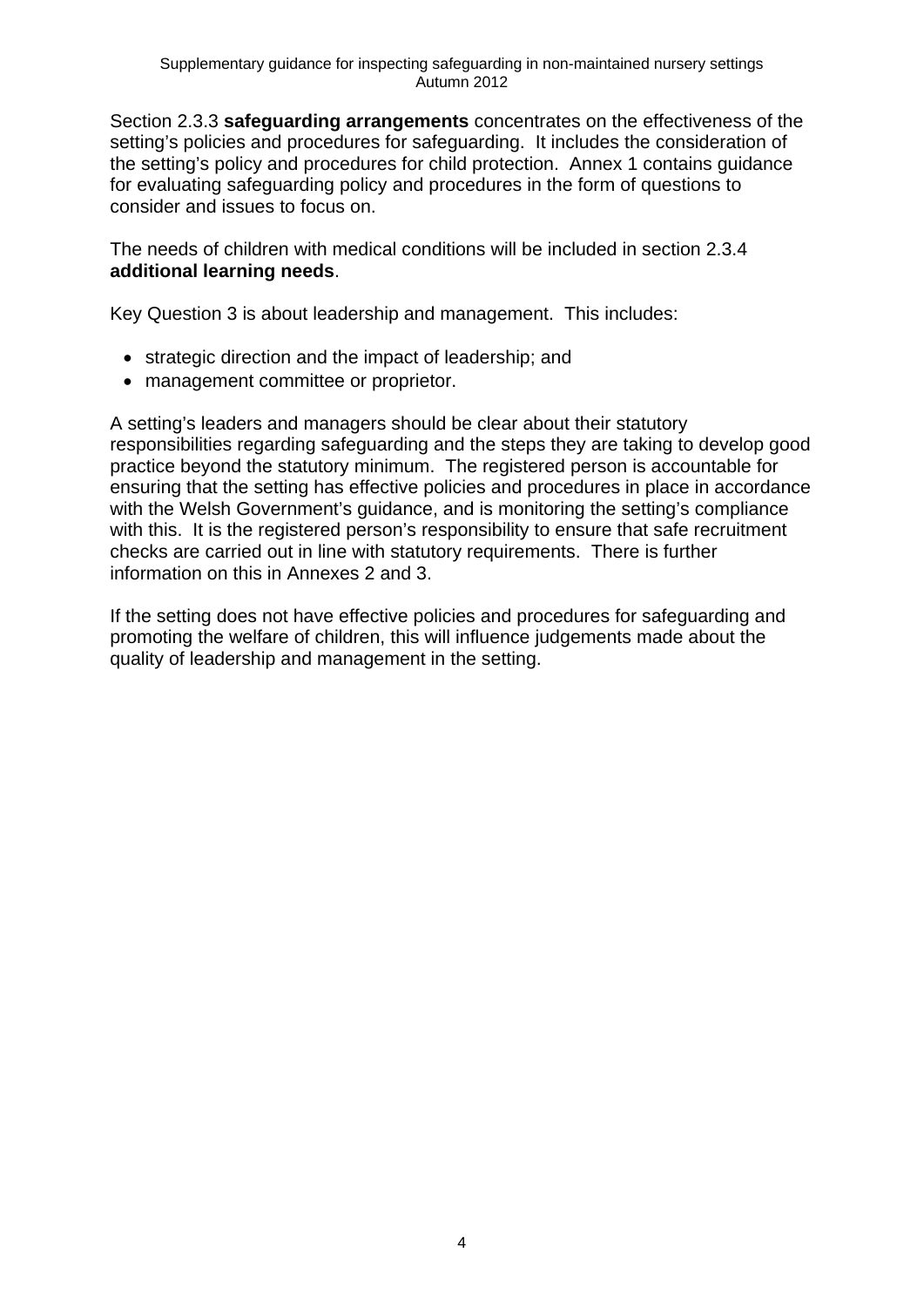Section 2.3.3 **safeguarding arrangements** concentrates on the effectiveness of the setting's policies and procedures for safeguarding. It includes the consideration of the setting's policy and procedures for child protection. Annex 1 contains guidance for evaluating safeguarding policy and procedures in the form of questions to consider and issues to focus on.

The needs of children with medical conditions will be included in section 2.3.4 **additional learning needs**.

Key Question 3 is about leadership and management. This includes:

- strategic direction and the impact of leadership; and
- management committee or proprietor.

A setting's leaders and managers should be clear about their statutory responsibilities regarding safeguarding and the steps they are taking to develop good practice beyond the statutory minimum. The registered person is accountable for ensuring that the setting has effective policies and procedures in place in accordance with the Welsh Government's quidance, and is monitoring the setting's compliance with this. It is the registered person's responsibility to ensure that safe recruitment checks are carried out in line with statutory requirements. There is further information on this in Annexes 2 and 3.

If the setting does not have effective policies and procedures for safeguarding and promoting the welfare of children, this will influence judgements made about the quality of leadership and management in the setting.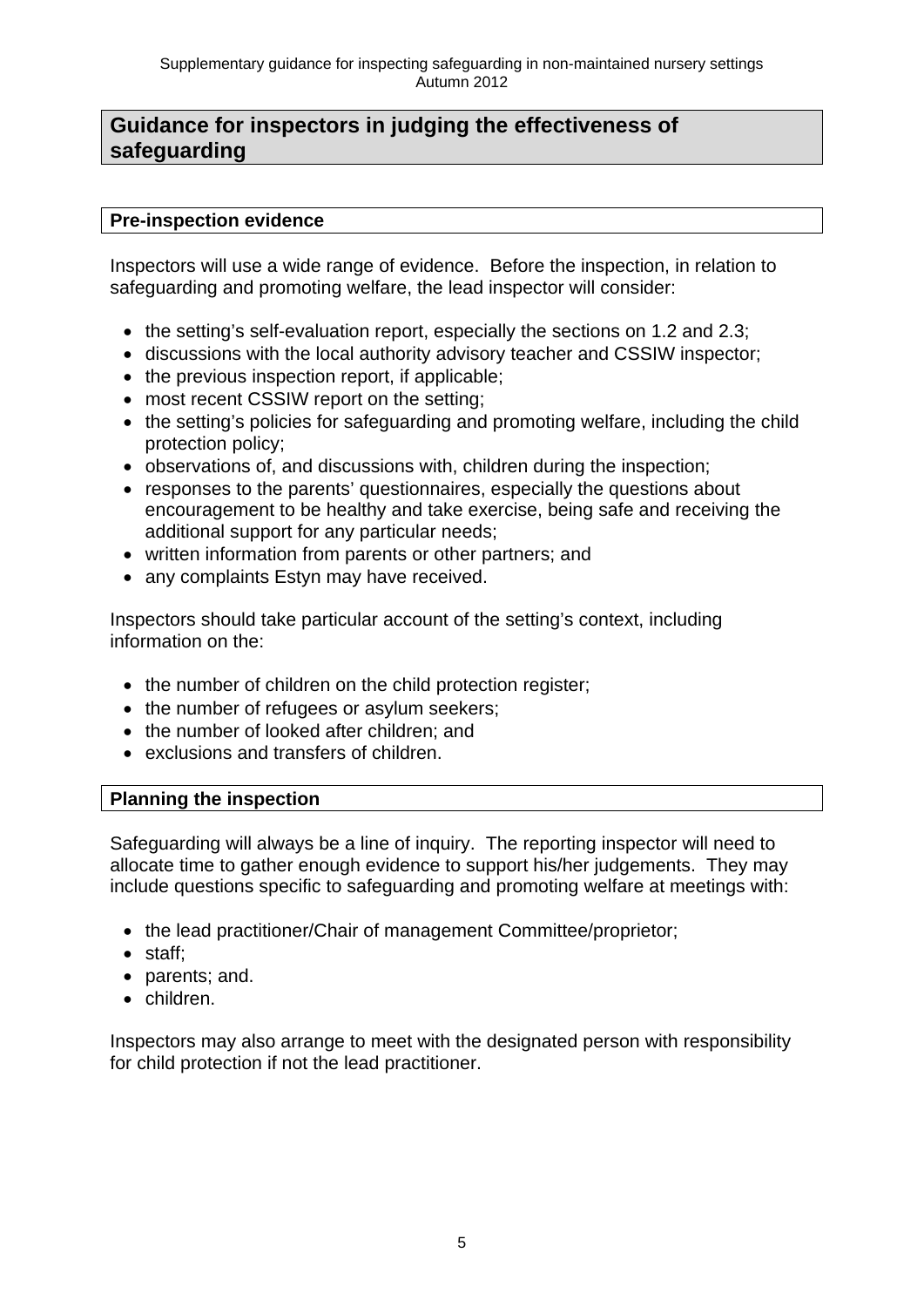# **Guidance for inspectors in judging the effectiveness of safeguarding**

#### **Pre-inspection evidence**

Inspectors will use a wide range of evidence. Before the inspection, in relation to safeguarding and promoting welfare, the lead inspector will consider:

- the setting's self-evaluation report, especially the sections on 1.2 and 2.3;
- discussions with the local authority advisory teacher and CSSIW inspector;
- $\bullet$  the previous inspection report, if applicable;
- most recent CSSIW report on the setting;
- the setting's policies for safeguarding and promoting welfare, including the child protection policy;
- observations of, and discussions with, children during the inspection;
- responses to the parents' questionnaires, especially the questions about encouragement to be healthy and take exercise, being safe and receiving the additional support for any particular needs;
- written information from parents or other partners; and
- any complaints Estyn may have received.

Inspectors should take particular account of the setting's context, including information on the:

- the number of children on the child protection register;
- the number of refugees or asylum seekers;
- the number of looked after children; and
- exclusions and transfers of children.

#### **Planning the inspection**

Safeguarding will always be a line of inquiry. The reporting inspector will need to allocate time to gather enough evidence to support his/her judgements. They may include questions specific to safeguarding and promoting welfare at meetings with:

- the lead practitioner/Chair of management Committee/proprietor;
- staff:
- parents; and.
- children.

Inspectors may also arrange to meet with the designated person with responsibility for child protection if not the lead practitioner.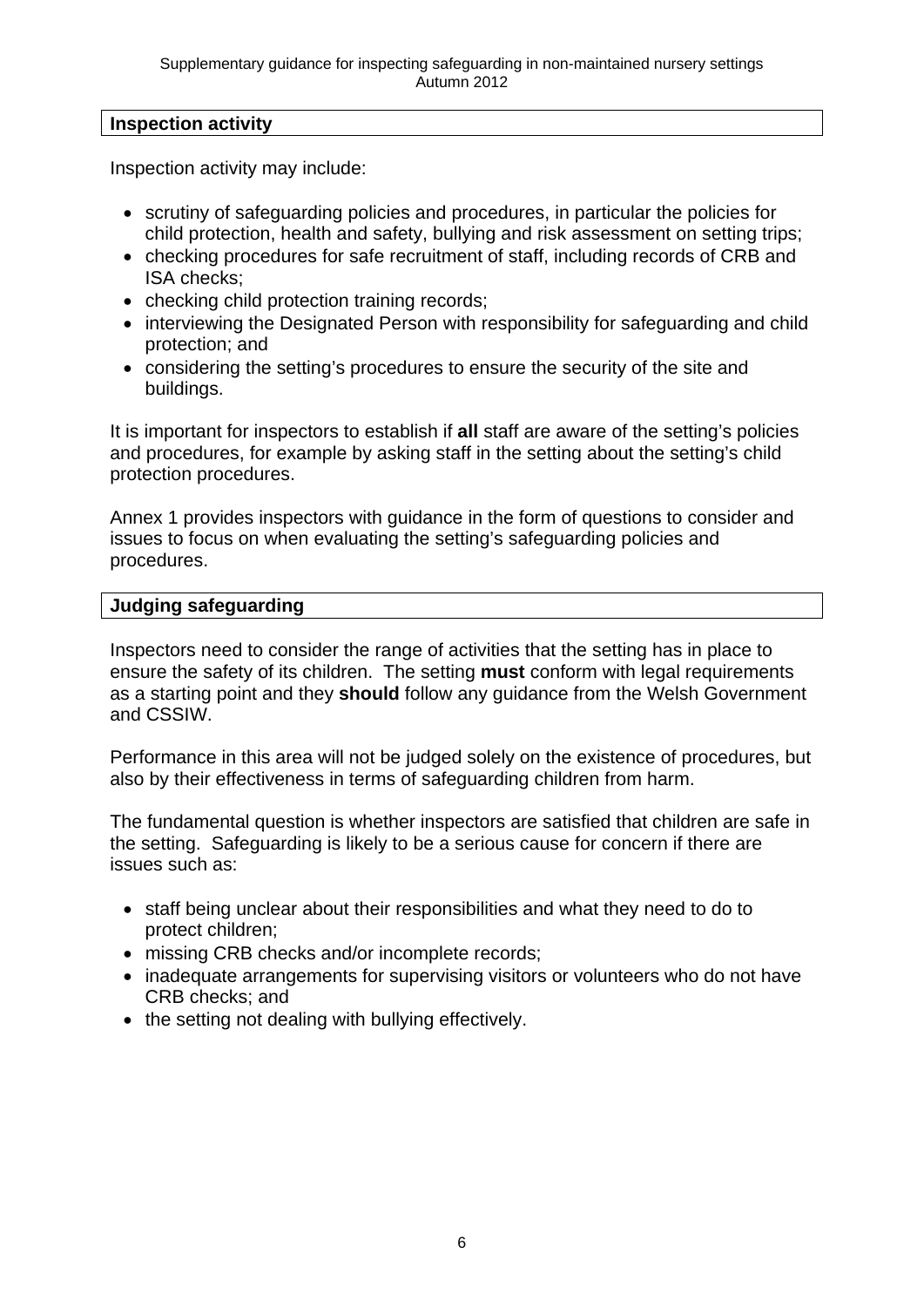#### **Inspection activity**

Inspection activity may include:

- scrutiny of safeguarding policies and procedures, in particular the policies for child protection, health and safety, bullying and risk assessment on setting trips;
- checking procedures for safe recruitment of staff, including records of CRB and ISA checks;
- checking child protection training records;
- interviewing the Designated Person with responsibility for safeguarding and child protection; and
- considering the setting's procedures to ensure the security of the site and buildings.

It is important for inspectors to establish if **all** staff are aware of the setting's policies and procedures, for example by asking staff in the setting about the setting's child protection procedures.

Annex 1 provides inspectors with guidance in the form of questions to consider and issues to focus on when evaluating the setting's safeguarding policies and procedures.

#### **Judging safeguarding**

Inspectors need to consider the range of activities that the setting has in place to ensure the safety of its children. The setting **must** conform with legal requirements as a starting point and they **should** follow any guidance from the Welsh Government and CSSIW.

Performance in this area will not be judged solely on the existence of procedures, but also by their effectiveness in terms of safeguarding children from harm.

The fundamental question is whether inspectors are satisfied that children are safe in the setting. Safeguarding is likely to be a serious cause for concern if there are issues such as:

- staff being unclear about their responsibilities and what they need to do to protect children;
- missing CRB checks and/or incomplete records;
- inadequate arrangements for supervising visitors or volunteers who do not have CRB checks; and
- the setting not dealing with bullying effectively.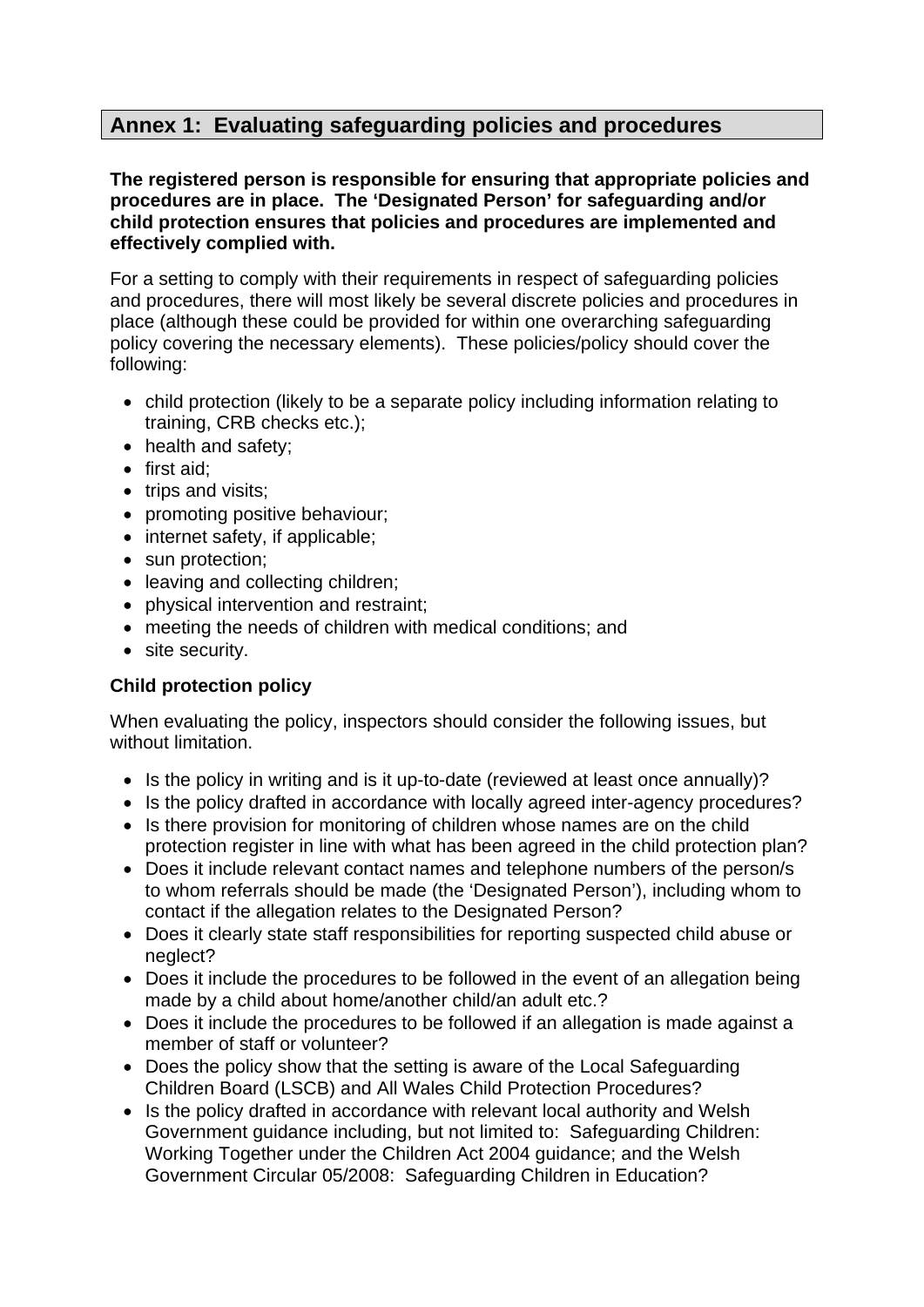# **Annex 1: Evaluating safeguarding policies and procedures**

#### **The registered person is responsible for ensuring that appropriate policies and procedures are in place. The 'Designated Person' for safeguarding and/or child protection ensures that policies and procedures are implemented and effectively complied with.**

For a setting to comply with their requirements in respect of safeguarding policies and procedures, there will most likely be several discrete policies and procedures in place (although these could be provided for within one overarching safeguarding policy covering the necessary elements). These policies/policy should cover the following:

- child protection (likely to be a separate policy including information relating to training, CRB checks etc.);
- health and safety;
- $\bullet$  first aid:
- trips and visits:
- promoting positive behaviour;
- internet safety, if applicable:
- sun protection;
- leaving and collecting children;
- physical intervention and restraint:
- meeting the needs of children with medical conditions; and
- site security.

#### **Child protection policy**

When evaluating the policy, inspectors should consider the following issues, but without limitation.

- Is the policy in writing and is it up-to-date (reviewed at least once annually)?
- Is the policy drafted in accordance with locally agreed inter-agency procedures?
- Is there provision for monitoring of children whose names are on the child protection register in line with what has been agreed in the child protection plan?
- Does it include relevant contact names and telephone numbers of the person/s to whom referrals should be made (the 'Designated Person'), including whom to contact if the allegation relates to the Designated Person?
- Does it clearly state staff responsibilities for reporting suspected child abuse or neglect?
- Does it include the procedures to be followed in the event of an allegation being made by a child about home/another child/an adult etc.?
- Does it include the procedures to be followed if an allegation is made against a member of staff or volunteer?
- Does the policy show that the setting is aware of the Local Safeguarding Children Board (LSCB) and All Wales Child Protection Procedures?
- Is the policy drafted in accordance with relevant local authority and Welsh Government guidance including, but not limited to: Safeguarding Children: Working Together under the Children Act 2004 guidance; and the Welsh Government Circular 05/2008: Safeguarding Children in Education?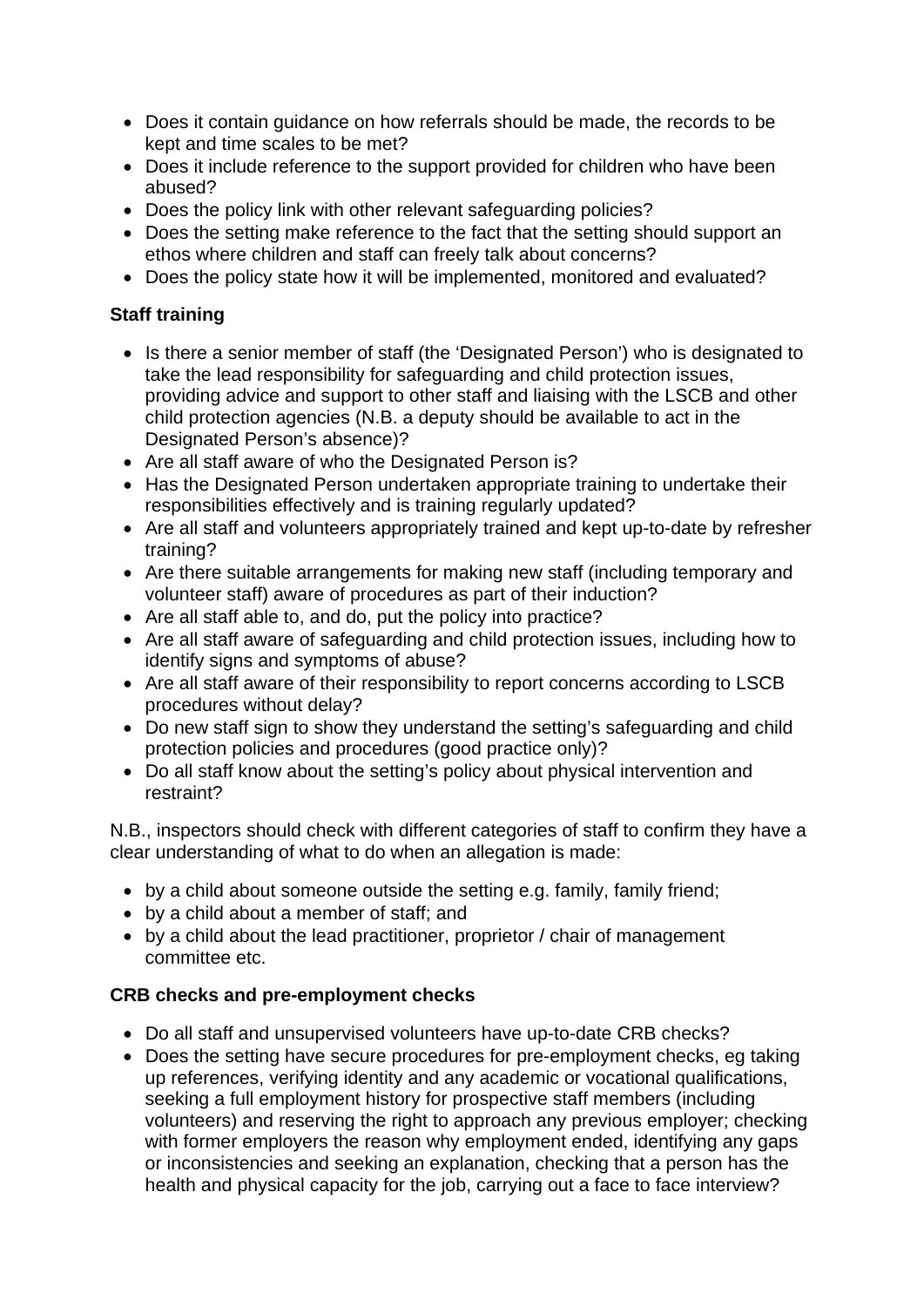- Does it contain guidance on how referrals should be made, the records to be kept and time scales to be met?
- Does it include reference to the support provided for children who have been abused?
- Does the policy link with other relevant safeguarding policies?
- Does the setting make reference to the fact that the setting should support an ethos where children and staff can freely talk about concerns?
- Does the policy state how it will be implemented, monitored and evaluated?

## **Staff training**

- Is there a senior member of staff (the 'Designated Person') who is designated to take the lead responsibility for safeguarding and child protection issues, providing advice and support to other staff and liaising with the LSCB and other child protection agencies (N.B. a deputy should be available to act in the Designated Person's absence)?
- Are all staff aware of who the Designated Person is?
- Has the Designated Person undertaken appropriate training to undertake their responsibilities effectively and is training regularly updated?
- Are all staff and volunteers appropriately trained and kept up-to-date by refresher training?
- Are there suitable arrangements for making new staff (including temporary and volunteer staff) aware of procedures as part of their induction?
- Are all staff able to, and do, put the policy into practice?
- Are all staff aware of safeguarding and child protection issues, including how to identify signs and symptoms of abuse?
- Are all staff aware of their responsibility to report concerns according to LSCB procedures without delay?
- Do new staff sign to show they understand the setting's safeguarding and child protection policies and procedures (good practice only)?
- Do all staff know about the setting's policy about physical intervention and restraint?

N.B., inspectors should check with different categories of staff to confirm they have a clear understanding of what to do when an allegation is made:

- by a child about someone outside the setting e.g. family, family friend;
- by a child about a member of staff; and
- by a child about the lead practitioner, proprietor / chair of management committee etc.

## **CRB checks and pre-employment checks**

- Do all staff and unsupervised volunteers have up-to-date CRB checks?
- Does the setting have secure procedures for pre-employment checks, eg taking up references, verifying identity and any academic or vocational qualifications, seeking a full employment history for prospective staff members (including volunteers) and reserving the right to approach any previous employer; checking with former employers the reason why employment ended, identifying any gaps or inconsistencies and seeking an explanation, checking that a person has the health and physical capacity for the job, carrying out a face to face interview?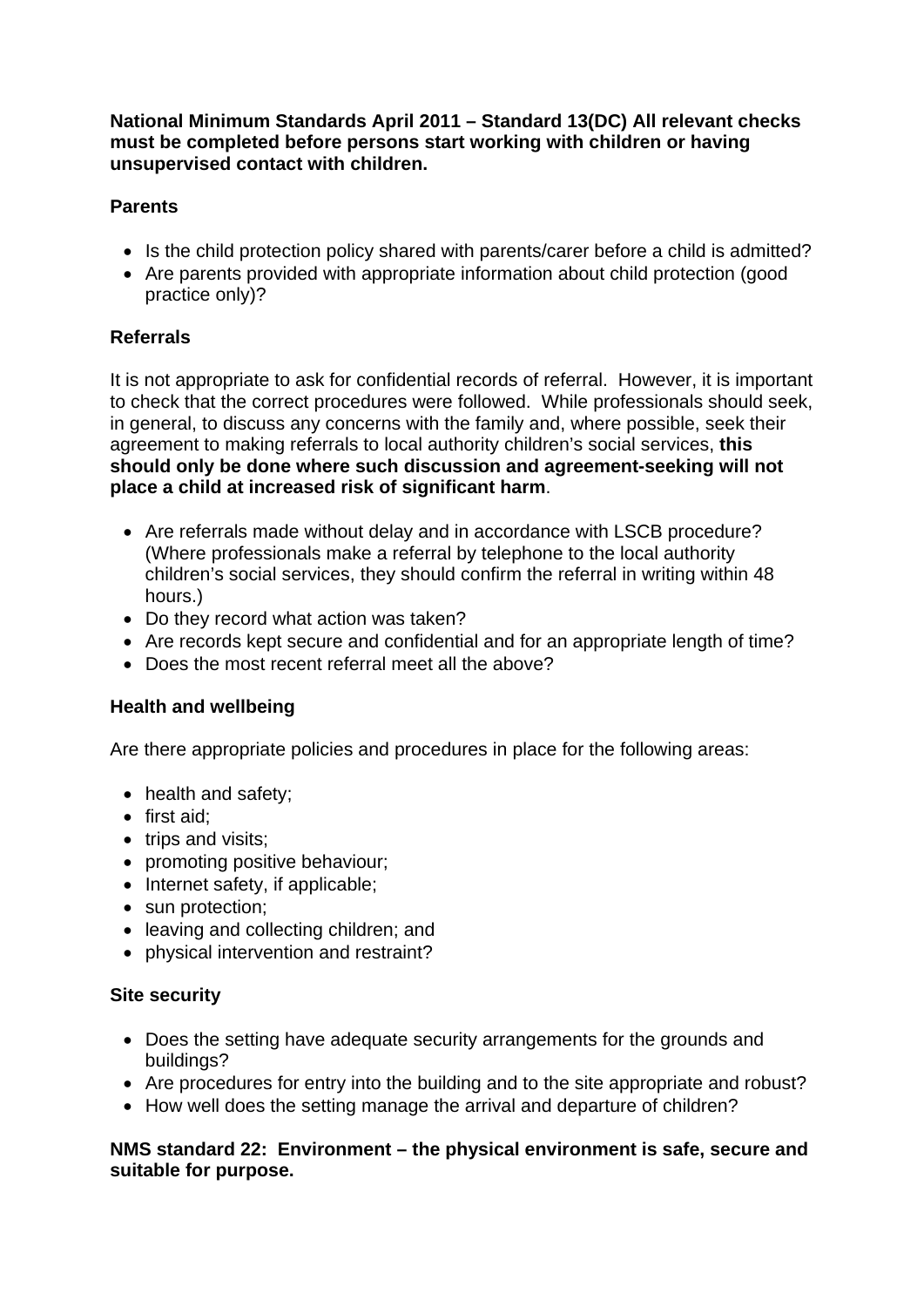**National Minimum Standards April 2011 – Standard 13(DC) All relevant checks must be completed before persons start working with children or having unsupervised contact with children.** 

#### **Parents**

- Is the child protection policy shared with parents/carer before a child is admitted?
- Are parents provided with appropriate information about child protection (good practice only)?

## **Referrals**

It is not appropriate to ask for confidential records of referral. However, it is important to check that the correct procedures were followed. While professionals should seek, in general, to discuss any concerns with the family and, where possible, seek their agreement to making referrals to local authority children's social services, **this should only be done where such discussion and agreement-seeking will not place a child at increased risk of significant harm**.

- Are referrals made without delay and in accordance with LSCB procedure? (Where professionals make a referral by telephone to the local authority children's social services, they should confirm the referral in writing within 48 hours.)
- Do they record what action was taken?
- Are records kept secure and confidential and for an appropriate length of time?
- Does the most recent referral meet all the above?

#### **Health and wellbeing**

Are there appropriate policies and procedures in place for the following areas:

- health and safety;
- $\bullet$  first aid:
- trips and visits;
- promoting positive behaviour;
- Internet safety, if applicable;
- sun protection:
- leaving and collecting children; and
- physical intervention and restraint?

#### **Site security**

- Does the setting have adequate security arrangements for the grounds and buildings?
- Are procedures for entry into the building and to the site appropriate and robust?
- How well does the setting manage the arrival and departure of children?

#### **NMS standard 22: Environment – the physical environment is safe, secure and suitable for purpose.**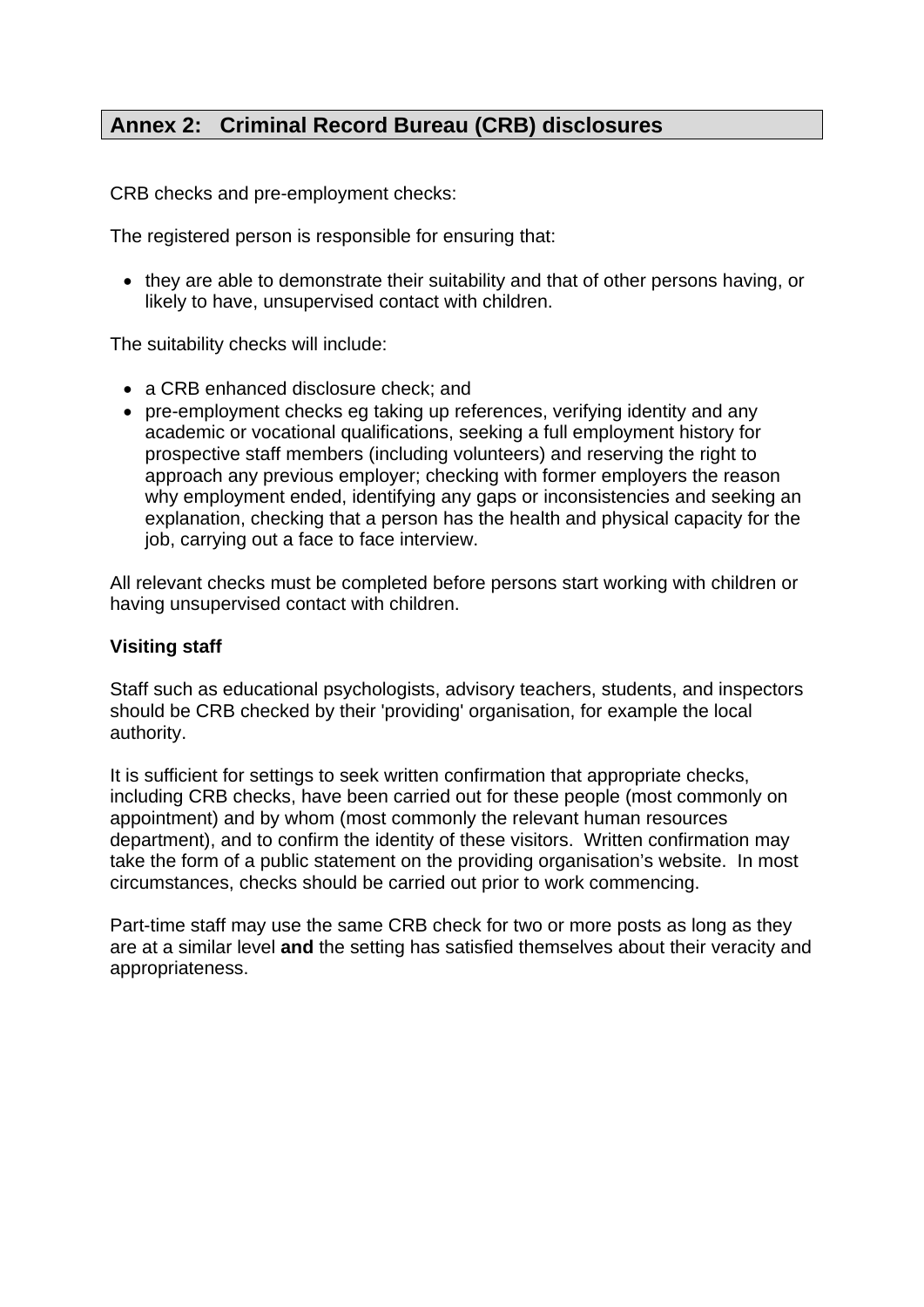# **Annex 2: Criminal Record Bureau (CRB) disclosures**

CRB checks and pre-employment checks:

The registered person is responsible for ensuring that:

• they are able to demonstrate their suitability and that of other persons having, or likely to have, unsupervised contact with children.

The suitability checks will include:

- a CRB enhanced disclosure check: and
- pre-employment checks eg taking up references, verifying identity and any academic or vocational qualifications, seeking a full employment history for prospective staff members (including volunteers) and reserving the right to approach any previous employer; checking with former employers the reason why employment ended, identifying any gaps or inconsistencies and seeking an explanation, checking that a person has the health and physical capacity for the job, carrying out a face to face interview.

All relevant checks must be completed before persons start working with children or having unsupervised contact with children.

#### **Visiting staff**

Staff such as educational psychologists, advisory teachers, students, and inspectors should be CRB checked by their 'providing' organisation, for example the local authority.

It is sufficient for settings to seek written confirmation that appropriate checks, including CRB checks, have been carried out for these people (most commonly on appointment) and by whom (most commonly the relevant human resources department), and to confirm the identity of these visitors. Written confirmation may take the form of a public statement on the providing organisation's website. In most circumstances, checks should be carried out prior to work commencing.

Part-time staff may use the same CRB check for two or more posts as long as they are at a similar level **and** the setting has satisfied themselves about their veracity and appropriateness.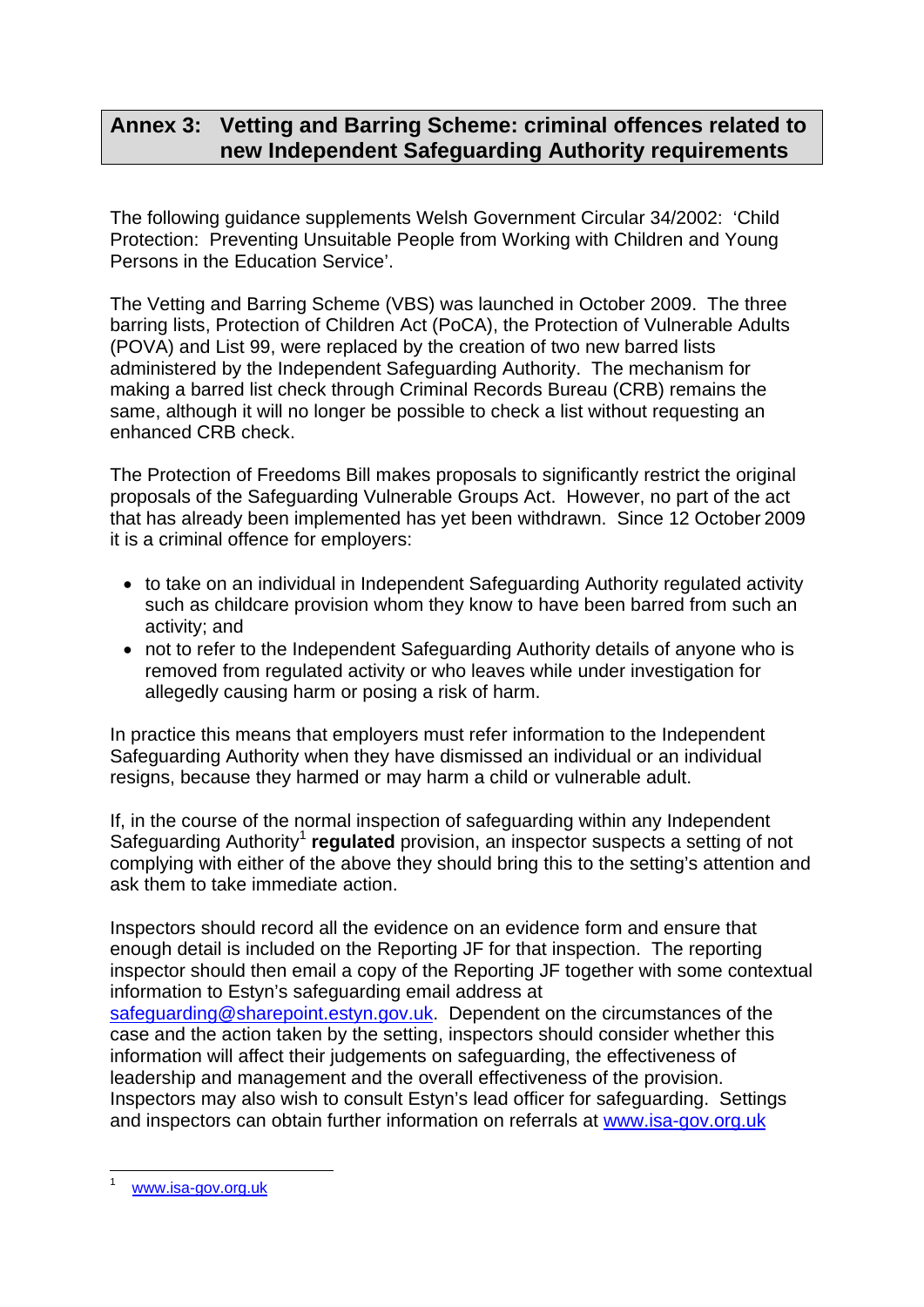# **Annex 3: Vetting and Barring Scheme: criminal offences related to new Independent Safeguarding Authority requirements**

The following guidance supplements Welsh Government Circular 34/2002: 'Child Protection: Preventing Unsuitable People from Working with Children and Young Persons in the Education Service'.

The Vetting and Barring Scheme (VBS) was launched in October 2009. The three barring lists, Protection of Children Act (PoCA), the Protection of Vulnerable Adults (POVA) and List 99, were replaced by the creation of two new barred lists administered by the Independent Safeguarding Authority. The mechanism for making a barred list check through Criminal Records Bureau (CRB) remains the same, although it will no longer be possible to check a list without requesting an enhanced CRB check.

The Protection of Freedoms Bill makes proposals to significantly restrict the original proposals of the Safeguarding Vulnerable Groups Act. However, no part of the act that has already been implemented has yet been withdrawn. Since 12 October 2009 it is a criminal offence for employers:

- to take on an individual in Independent Safeguarding Authority regulated activity such as childcare provision whom they know to have been barred from such an activity; and
- not to refer to the Independent Safeguarding Authority details of anyone who is removed from regulated activity or who leaves while under investigation for allegedly causing harm or posing a risk of harm.

In practice this means that employers must refer information to the Independent Safeguarding Authority when they have dismissed an individual or an individual resigns, because they harmed or may harm a child or vulnerable adult.

If, in the course of the normal inspection of safeguarding within any Independent Safeguarding Authority<sup>1</sup> **regulated** provision, an inspector suspects a setting of not complying with either of the above they should bring this to the setting's attention and ask them to take immediate action.

Inspectors should record all the evidence on an evidence form and ensure that enough detail is included on the Reporting JF for that inspection. The reporting inspector should then email a copy of the Reporting JF together with some contextual information to Estyn's safeguarding email address at safeguarding@sharepoint.estyn.gov.uk. Dependent on the circumstances of the case and the action taken by the setting, inspectors should consider whether this information will affect their judgements on safeguarding, the effectiveness of leadership and management and the overall effectiveness of the provision. Inspectors may also wish to consult Estyn's lead officer for safeguarding. Settings and inspectors can obtain further information on referrals at www.isa-gov.org.uk

 www.isa-gov.org.uk